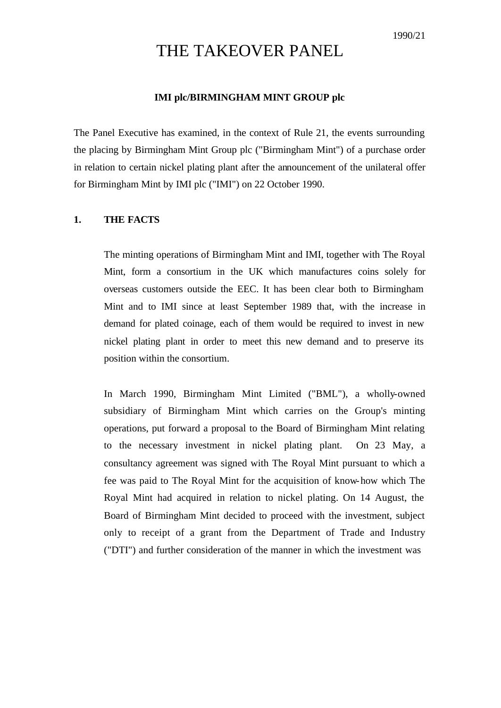# THE TAKEOVER PANEL

### **IMI plc/BIRMINGHAM MINT GROUP plc**

The Panel Executive has examined, in the context of Rule 21, the events surrounding the placing by Birmingham Mint Group plc ("Birmingham Mint") of a purchase order in relation to certain nickel plating plant after the announcement of the unilateral offer for Birmingham Mint by IMI plc ("IMI") on 22 October 1990.

#### **1. THE FACTS**

The minting operations of Birmingham Mint and IMI, together with The Royal Mint, form a consortium in the UK which manufactures coins solely for overseas customers outside the EEC. It has been clear both to Birmingham Mint and to IMI since at least September 1989 that, with the increase in demand for plated coinage, each of them would be required to invest in new nickel plating plant in order to meet this new demand and to preserve its position within the consortium.

In March 1990, Birmingham Mint Limited ("BML"), a wholly-owned subsidiary of Birmingham Mint which carries on the Group's minting operations, put forward a proposal to the Board of Birmingham Mint relating to the necessary investment in nickel plating plant. On 23 May, a consultancy agreement was signed with The Royal Mint pursuant to which a fee was paid to The Royal Mint for the acquisition of know-how which The Royal Mint had acquired in relation to nickel plating. On 14 August, the Board of Birmingham Mint decided to proceed with the investment, subject only to receipt of a grant from the Department of Trade and Industry ("DTI") and further consideration of the manner in which the investment was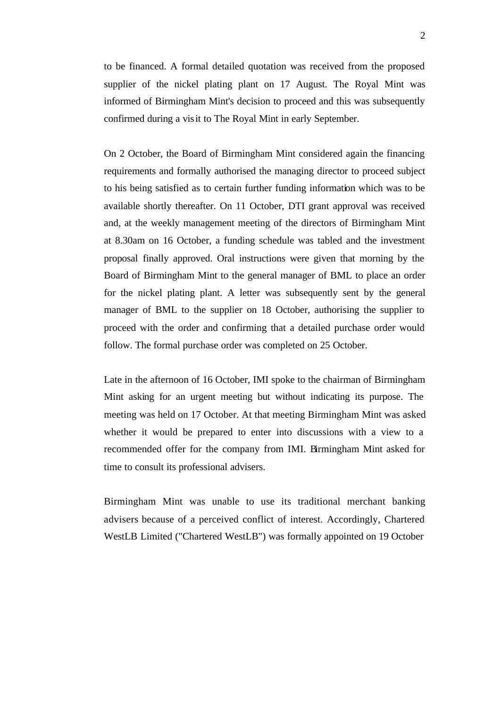to be financed. A formal detailed quotation was received from the proposed supplier of the nickel plating plant on 17 August. The Royal Mint was informed of Birmingham Mint's decision to proceed and this was subsequently confirmed during a visit to The Royal Mint in early September.

On 2 October, the Board of Birmingham Mint considered again the financing requirements and formally authorised the managing director to proceed subject to his being satisfied as to certain further funding information which was to be available shortly thereafter. On 11 October, DTI grant approval was received and, at the weekly management meeting of the directors of Birmingham Mint at 8.30am on 16 October, a funding schedule was tabled and the investment proposal finally approved. Oral instructions were given that morning by the Board of Birmingham Mint to the general manager of BML to place an order for the nickel plating plant. A letter was subsequently sent by the general manager of BML to the supplier on 18 October, authorising the supplier to proceed with the order and confirming that a detailed purchase order would follow. The formal purchase order was completed on 25 October.

Late in the afternoon of 16 October, IMI spoke to the chairman of Birmingham Mint asking for an urgent meeting but without indicating its purpose. The meeting was held on 17 October. At that meeting Birmingham Mint was asked whether it would be prepared to enter into discussions with a view to a recommended offer for the company from IMI. Birmingham Mint asked for time to consult its professional advisers.

Birmingham Mint was unable to use its traditional merchant banking advisers because of a perceived conflict of interest. Accordingly, Chartered WestLB Limited ("Chartered WestLB") was formally appointed on 19 October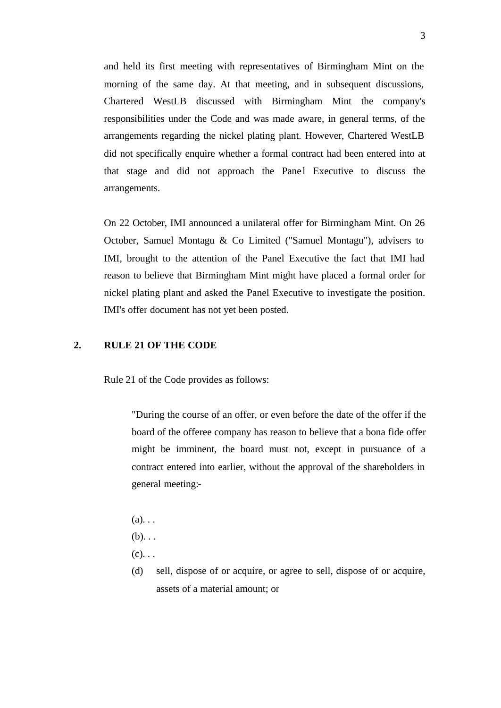and held its first meeting with representatives of Birmingham Mint on the morning of the same day. At that meeting, and in subsequent discussions, Chartered WestLB discussed with Birmingham Mint the company's responsibilities under the Code and was made aware, in general terms, of the arrangements regarding the nickel plating plant. However, Chartered WestLB did not specifically enquire whether a formal contract had been entered into at that stage and did not approach the Panel Executive to discuss the arrangements.

On 22 October, IMI announced a unilateral offer for Birmingham Mint. On 26 October, Samuel Montagu & Co Limited ("Samuel Montagu"), advisers to IMI, brought to the attention of the Panel Executive the fact that IMI had reason to believe that Birmingham Mint might have placed a formal order for nickel plating plant and asked the Panel Executive to investigate the position. IMI's offer document has not yet been posted.

## **2. RULE 21 OF THE CODE**

Rule 21 of the Code provides as follows:

"During the course of an offer, or even before the date of the offer if the board of the offeree company has reason to believe that a bona fide offer might be imminent, the board must not, except in pursuance of a contract entered into earlier, without the approval of the shareholders in general meeting:-

- $(a)$ ...
- $(b)$ ...

 $(c)$ ...

(d) sell, dispose of or acquire, or agree to sell, dispose of or acquire, assets of a material amount; or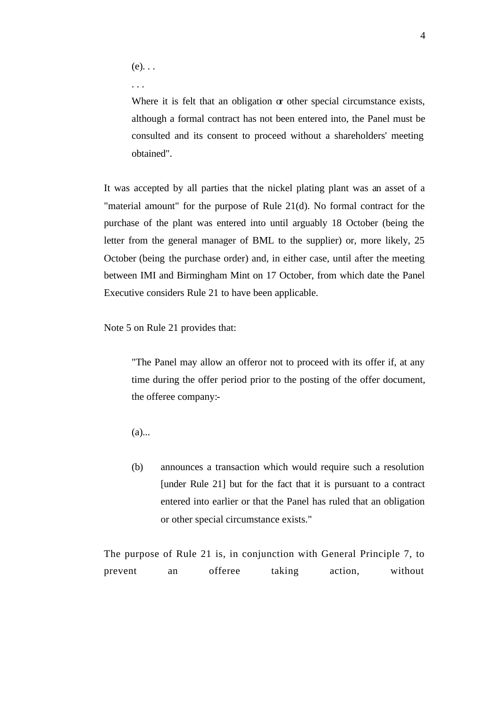$(e)$ ...

. . .

Where it is felt that an obligation or other special circumstance exists, although a formal contract has not been entered into, the Panel must be consulted and its consent to proceed without a shareholders' meeting obtained".

It was accepted by all parties that the nickel plating plant was an asset of a "material amount" for the purpose of Rule 21(d). No formal contract for the purchase of the plant was entered into until arguably 18 October (being the letter from the general manager of BML to the supplier) or, more likely, 25 October (being the purchase order) and, in either case, until after the meeting between IMI and Birmingham Mint on 17 October, from which date the Panel Executive considers Rule 21 to have been applicable.

Note 5 on Rule 21 provides that:

"The Panel may allow an offeror not to proceed with its offer if, at any time during the offer period prior to the posting of the offer document, the offeree company:-

 $(a)$ ...

(b) announces a transaction which would require such a resolution [under Rule 21] but for the fact that it is pursuant to a contract entered into earlier or that the Panel has ruled that an obligation or other special circumstance exists."

The purpose of Rule 21 is, in conjunction with General Principle 7, to prevent an offeree taking action, without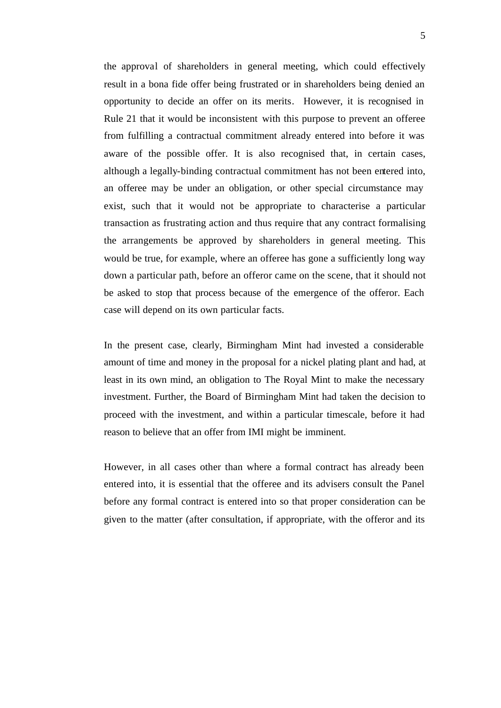the approval of shareholders in general meeting, which could effectively result in a bona fide offer being frustrated or in shareholders being denied an opportunity to decide an offer on its merits. However, it is recognised in Rule 21 that it would be inconsistent with this purpose to prevent an offeree from fulfilling a contractual commitment already entered into before it was aware of the possible offer. It is also recognised that, in certain cases, although a legally-binding contractual commitment has not been entered into, an offeree may be under an obligation, or other special circumstance may exist, such that it would not be appropriate to characterise a particular transaction as frustrating action and thus require that any contract formalising the arrangements be approved by shareholders in general meeting. This would be true, for example, where an offeree has gone a sufficiently long way down a particular path, before an offeror came on the scene, that it should not be asked to stop that process because of the emergence of the offeror. Each case will depend on its own particular facts.

In the present case, clearly, Birmingham Mint had invested a considerable amount of time and money in the proposal for a nickel plating plant and had, at least in its own mind, an obligation to The Royal Mint to make the necessary investment. Further, the Board of Birmingham Mint had taken the decision to proceed with the investment, and within a particular timescale, before it had reason to believe that an offer from IMI might be imminent.

However, in all cases other than where a formal contract has already been entered into, it is essential that the offeree and its advisers consult the Panel before any formal contract is entered into so that proper consideration can be given to the matter (after consultation, if appropriate, with the offeror and its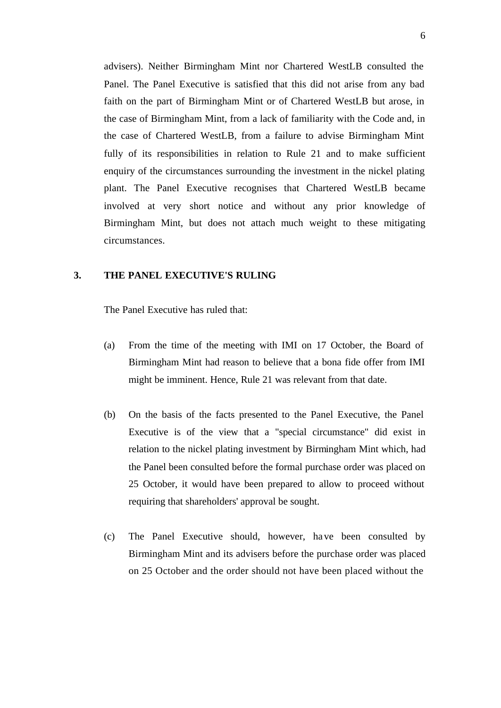advisers). Neither Birmingham Mint nor Chartered WestLB consulted the Panel. The Panel Executive is satisfied that this did not arise from any bad faith on the part of Birmingham Mint or of Chartered WestLB but arose, in the case of Birmingham Mint, from a lack of familiarity with the Code and, in the case of Chartered WestLB, from a failure to advise Birmingham Mint fully of its responsibilities in relation to Rule 21 and to make sufficient enquiry of the circumstances surrounding the investment in the nickel plating plant. The Panel Executive recognises that Chartered WestLB became involved at very short notice and without any prior knowledge of Birmingham Mint, but does not attach much weight to these mitigating circumstances.

## **3. THE PANEL EXECUTIVE'S RULING**

The Panel Executive has ruled that:

- (a) From the time of the meeting with IMI on 17 October, the Board of Birmingham Mint had reason to believe that a bona fide offer from IMI might be imminent. Hence, Rule 21 was relevant from that date.
- (b) On the basis of the facts presented to the Panel Executive, the Panel Executive is of the view that a "special circumstance" did exist in relation to the nickel plating investment by Birmingham Mint which, had the Panel been consulted before the formal purchase order was placed on 25 October, it would have been prepared to allow to proceed without requiring that shareholders' approval be sought.
- (c) The Panel Executive should, however, ha ve been consulted by Birmingham Mint and its advisers before the purchase order was placed on 25 October and the order should not have been placed without the